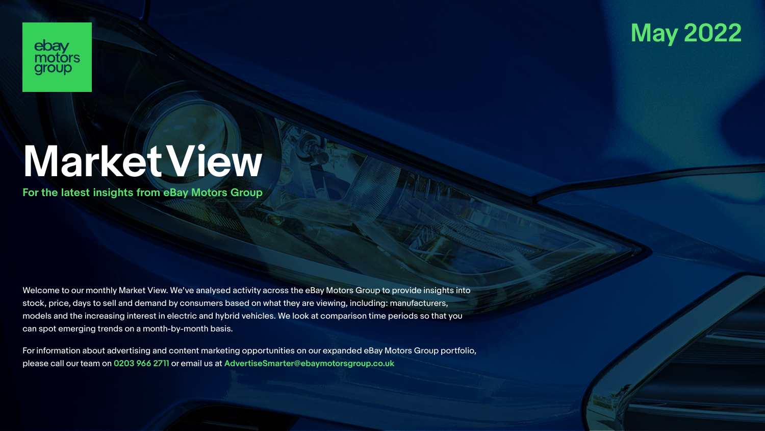

# ebay<br>motors<br>group

# **Market View**

**For the latest insights from eBay Motors Group**

Welcome to our monthly Market View. We've analysed activity across the eBay Motors Group to provide insights into stock, price, days to sell and demand by consumers based on what they are viewing, including: manufacturers, models and the increasing interest in electric and hybrid vehicles. We look at comparison time periods so that you can spot emerging trends on a month-by-month basis.

For information about advertising and content marketing opportunities on our expanded eBay Motors Group portfolio, please call our team on **0203 966 2711** or email us at **AdvertiseSmarter@ebaymotorsgroup.co.uk**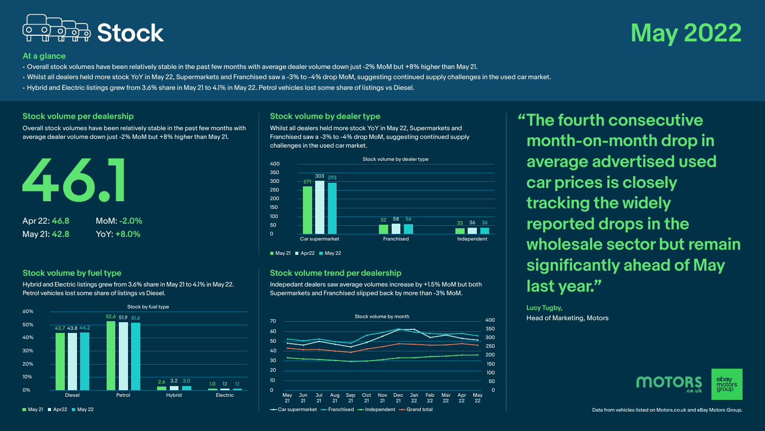

## **At a glance**

- Overall stock volumes have been relatively stable in the past few months with average dealer volume down just -2% MoM but +8% higher than May 21.
- Whilst all dealers held more stock YoY in May 22, Supermarkets and Franchised saw a -3% to -4% drop MoM, suggesting continued supply challenges in the used car market.
- Hybrid and Electric listings grew from 3.6% share in May 21 to 4.1% in May 22. Petrol vehicles lost some share of listings vs Diesel.

## **Stock volume per dealership**

Overall stock volumes have been relatively stable in the past few months with average dealer volume down just -2% MoM but +8% higher than May 21.



## **Stock volume by fuel type**

Hybrid and Electric listings grew from 3.6% share in May 21 to 4.1% in May 22. Petrol vehicles lost some share of listings vs Diesel.



**Stock volume by dealer type** Whilst all dealers held more stock YoY in May 22, Supermarkets and Franchised saw a -3% to -4% drop MoM, suggesting continued supply challenges in the used car market.



 $\blacksquare$  May 21  $\blacksquare$  Apr22  $\blacksquare$  May 22

## **Stock volume trend per dealership**

Indepedant dealers saw average volumes increase by +1.5% MoM but both Supermarkets and Franchised slipped back by more than -3% MoM.



**"The fourth consecutive month-on-month drop in average advertised used car prices is closely tracking the widely reported drops in the wholesale sector but remain significantly ahead of May last year."**

**Lucy Tugby,** Head of Marketing, Motors

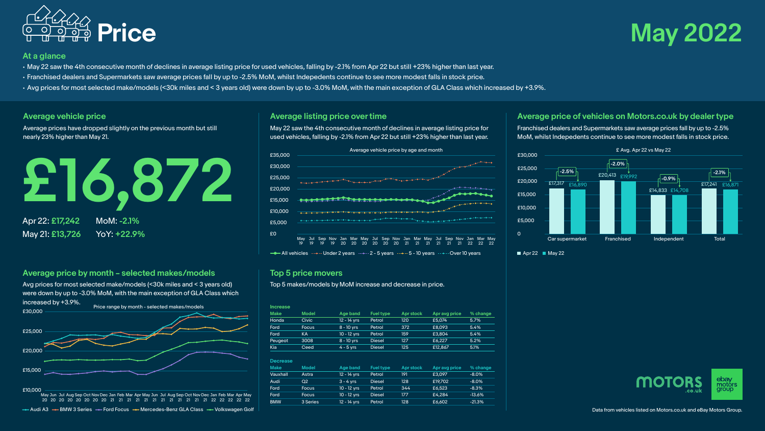

## **Price May 2022**

## **At a glance**

- May 22 saw the 4th consecutive month of declines in average listing price for used vehicles, falling by -2.1% from Apr 22 but still +23% higher than last year.
- Franchised dealers and Supermarkets saw average prices fall by up to -2.5% MoM, whilst Indepedents continue to see more modest falls in stock price.
- Avg prices for most selected make/models (<30k miles and < 3 years old) were down by up to -3.0% MoM, with the main exception of GLA Class which increased by +3.9%.

### **Average vehicle price**

Average prices have dropped slightly on the previous month but still nearly 23% higher than May 21.



**Average price by month – selected makes/models** Avg prices for most selected make/models (<30k miles and < 3 years old) were down by up to -3.0% MoM, with the main exception of GLA Class which increased by +3.9%. Price range by month - selected makes/models



Audi A3  $\rightarrow$  BMW 3 Series  $\rightarrow$  Ford Focus  $\rightarrow$  Mercedes-Benz GLA Class  $\rightarrow$  Volkswagen Golf

## **Average listing price over time**

May 22 saw the 4th consecutive month of declines in average listing price for used vehicles, falling by -2.1% from Apr 22 but still +23% higher than last year.



 $\rightarrow$  All vehicles  $\rightarrow$  - Under 2 years  $\rightarrow$  - 2 - 5 years  $\rightarrow$  - 5 - 10 years  $\rightarrow$  - Over 10 years

## **Top 5 price movers**

Top 5 makes/models by MoM increase and decrease in price.

| <b>Increase</b> |              |              |               |           |               |          |
|-----------------|--------------|--------------|---------------|-----------|---------------|----------|
| <b>Make</b>     | Model        | Age band     | Fuel type     | Apr stock | Apr avg price | % change |
| Honda           | <b>Civic</b> | 12 - 14 vrs  | Petrol        | 120       | £5.074        | 5.7%     |
| Ford            | <b>Focus</b> | $8 - 10$ vrs | Petrol        | 372       | £8.093        | 5.4%     |
| Ford            | КA           | 10 - 12 vrs  | Petrol        | 159       | £3,804        | 5.4%     |
| Peugeot         | 3008         | $8 - 10$ vrs | <b>Diesel</b> | 127       | £6.227        | 5.2%     |
| Kia             | Ceed         | $4 - 5$ vrs  | <b>Diesel</b> | 125       | £12,867       | 5.1%     |

### **Decrease**

| <b>Make</b> | <b>Model</b>   | Age band    | <b>Fuel type</b> | Apr stock | Apr avg price | % change |
|-------------|----------------|-------------|------------------|-----------|---------------|----------|
| Vauxhall    | Astra          | 12 - 14 vrs | Petrol           | 191       | £3.097        | $-8.0%$  |
| Audi        | O <sub>2</sub> | $3 - 4$ vrs | <b>Diesel</b>    | 128       | £19,702       | $-8.0%$  |
| Ford        | <b>Focus</b>   | 10 - 12 vrs | Petrol           | 344       | £6.523        | $-8.3%$  |
| Ford        | <b>Focus</b>   | 10 - 12 vrs | <b>Diesel</b>    | 177       | £4.284        | $-13.6%$ |
| <b>BMW</b>  | 3 Series       | 12 - 14 vrs | Petrol           | 128       | £6.602        | $-21.3%$ |

**Average price of vehicles on Motors.co.uk by dealer type** Franchised dealers and Supermarkets saw average prices fall by up to -2.5% MoM, whilst Indepedents continue to see more modest falls in stock price.



 $\blacksquare$  Apr 22  $\blacksquare$  May 22

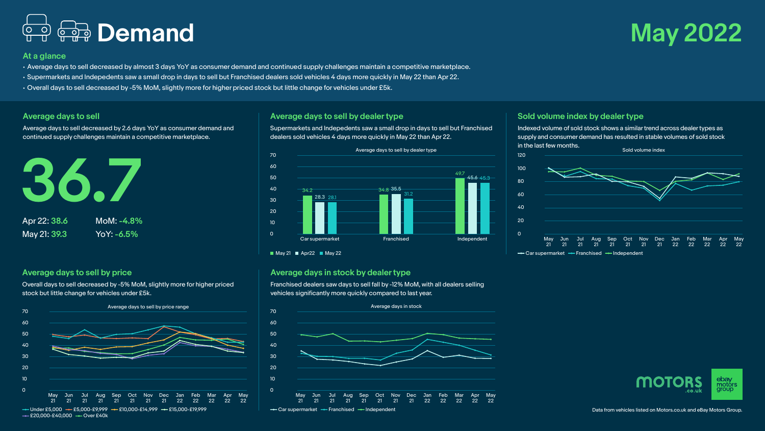## **Demand May 2022**

## **At a glance**

- Average days to sell decreased by almost 3 days YoY as consumer demand and continued supply challenges maintain a competitive marketplace.
- Supermarkets and Indepedents saw a small drop in days to sell but Franchised dealers sold vehicles 4 days more quickly in May 22 than Apr 22.
- Overall days to sell decreased by -5% MoM, slightly more for higher priced stock but little change for vehicles under £5k.

## **Average days to sell**

Average days to sell decreased by 2.6 days YoY as consumer demand and continued supply challenges maintain a competitive marketplace.



## **Average days to sell by price**

Overall days to sell decreased by -5% MoM, slightly more for higher priced stock but little change for vehicles under £5k.



## **Average days to sell by dealer type**

Supermarkets and Indepedents saw a small drop in days to sell but Franchised dealers sold vehicles 4 days more quickly in May 22 than Apr 22.



 $\blacksquare$  May 21  $\blacksquare$  Apr22  $\blacksquare$  May 22

## **Average days in stock by dealer type**

Franchised dealers saw days to sell fall by -12% MoM, with all dealers selling vehicles significantly more quickly compared to last year.



## **Sold volume index by dealer type**

120

Indexed volume of sold stock shows a similar trend across dealer types as supply and consumer demand has resulted in stable volumes of sold stock in the last few months.



- Car supermarket - Franchised - Independent



Data from vehicles listed on Motors.co.uk and eBay Motors Group.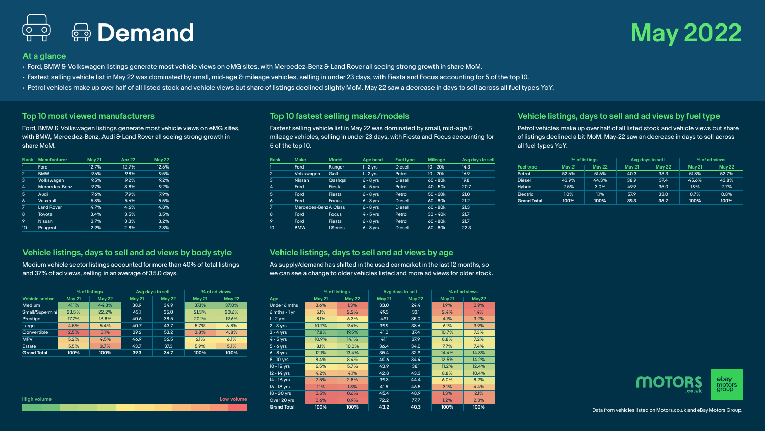

## **At a glance**

- Ford, BMW & Volkswagen listings generate most vehicle views on eMG sites, with Mercedez-Benz & Land Rover all seeing strong growth in share MoM.
- Fastest selling vehicle list in May 22 was dominated by small, mid-age & mileage vehicles, selling in under 23 days, with Fiesta and Focus accounting for 5 of the top 10.
- Petrol vehicles make up over half of all listed stock and vehicle views but share of listings declined slighty MoM. May 22 saw a decrease in days to sell across all fuel types YoY.

## **Top 10 most viewed manufacturers**

Ford, BMW & Volkswagen listings generate most vehicle views on eMG sites, with BMW, Mercedez-Benz, Audi & Land Rover all seeing strong growth in share MoM.

| Rank           | <b>Manufacturer</b> | <b>May 21</b> | Apr 22 | <b>May 22</b> |
|----------------|---------------------|---------------|--------|---------------|
| 1              | Ford                | 12.7%         | 12.7%  | 12.6%         |
| $\overline{2}$ | <b>BMW</b>          | 9.6%          | 9.8%   | 9.5%          |
| 3              | Volkswagen          | 9.5%          | 9.2%   | 9.2%          |
| 4              | Mercedes-Benz       | 9.7%          | 8.8%   | 9.2%          |
| 5              | Audi                | 7.6%          | 7.9%   | 7.9%          |
| 6              | Vauxhall            | 5.8%          | 5.6%   | 5.5%          |
| 7              | <b>Land Rover</b>   | 4.7%          | 4.6%   | 4.8%          |
| 8              | Toyota              | 3.4%          | 3.5%   | 3.5%          |
| 9              | <b>Nissan</b>       | 3.7%          | 3.3%   | 3.2%          |
| 10             | Peugeot             | 2.9%          | 2.8%   | 2.8%          |
|                |                     |               |        |               |

## **Top 10 fastest selling makes/models**

Fastest selling vehicle list in May 22 was dominated by small, mid-age & mileage vehicles, selling in under 23 days, with Fiesta and Focus accounting for 5 of the top 10.

| Rank           | <b>Make</b>           | <b>Model</b> | Age band    | Fuel type     | Mileage    | Avg days to sell |
|----------------|-----------------------|--------------|-------------|---------------|------------|------------------|
|                | Ford                  | Ranger       | $1 - 2$ yrs | <b>Diesel</b> | $10 - 20k$ | 14.3             |
| $\overline{2}$ | Volkswagen            | Golf         | 1 - 2 vrs   | Petrol        | $10 - 20k$ | 16.9             |
| 3              | <b>Nissan</b>         | Qashqai      | $6 - 8$ vrs | <b>Diesel</b> | $60 - 80k$ | 19.8             |
| 4              | Ford                  | Fiesta       | $4 - 5$ vrs | Petrol        | $40 - 50k$ | 20.7             |
| 5              | Ford                  | Fiesta       | $6 - 8$ vrs | Petrol        | $50 - 60k$ | 21.0             |
| 6              | Ford                  | <b>Focus</b> | $6 - 8$ yrs | <b>Diesel</b> | $60 - 80k$ | 21.2             |
| $\overline{7}$ | Mercedes-Benz A Class |              | $6 - 8$ yrs | <b>Diesel</b> | $60 - 80k$ | 21.3             |
| 8              | Ford                  | Focus        | $4 - 5$ vrs | Petrol        | $30 - 40k$ | 21.7             |
| 9              | Ford                  | Fiesta       | $6 - 8$ vrs | Petrol        | $60 - 80k$ | 21.7             |
| 10             | <b>BMW</b>            | 1 Series     | $6 - 8$ vrs | Diesel        | $60 - 80k$ | 22.3             |

## **Vehicle listings, days to sell and ad views by fuel type**

Petrol vehicles make up over half of all listed stock and vehicle views but share of listings declined a bit MoM. May-22 saw an decrease in days to sell across all fuel types YoY.

|                    | % of listings |        | Avg days to sell |               | % of ad views |        |
|--------------------|---------------|--------|------------------|---------------|---------------|--------|
| Fuel type          | <b>May 21</b> | May 22 | <b>May 21</b>    | <b>May 22</b> | <b>May 21</b> | May 22 |
| Petrol             | 52.6%         | 51.6%  | 40.3             | 36.3          | 51.8%         | 52.7%  |
| <b>Diesel</b>      | 43.9%         | 44.3%  | 38.9             | 37.4          | 45.6%         | 43.8%  |
| <b>Hybrid</b>      | 2.5%          | 3.0%   | 49.9             | 35.0          | 1.9%          | 2.7%   |
| Electric           | 1.0%          | 1.1%   | 57.9             | 33.0          | 0.7%          | 0.8%   |
| <b>Grand Total</b> | 100%          | 100%   | 39.3             | 36.7          | 100%          | 100%   |

## **Vehicle listings, days to sell and ad views by body style**

Medium vehicle sector listings accounted for more than 40% of total listings and 37% of ad views, selling in an average of 35.0 days.

|                    |               | % of listings<br>Avg days to sell |        |               | % of ad views |        |
|--------------------|---------------|-----------------------------------|--------|---------------|---------------|--------|
| Vehicle sector     | <b>May 21</b> | May 22                            | May 21 | <b>May 22</b> | <b>May 21</b> | May 22 |
| Medium             | 41.1%         | 44.3%                             | 38.9   | 34.9          | 37.1%         | 37.0%  |
| Small/Supermini    | 23.5%         | 22.2%                             | 43.1   | 35.0          | 21.3%         | 20.6%  |
| Prestiae           | 17.7%         | 16.8%                             | 40.6   | 38.5          | 20.1%         | 19.6%  |
| Large              | 4.5%          | 5.4%                              | 40.7   | 43.7          | 5.7%          | 6.8%   |
| Convertible        | 2.5%          | 3.1%                              | 39.6   | 53.2          | 3.8%          | 4.8%   |
| <b>MPV</b>         | 5.2%          | 4.5%                              | 46.9   | 36.5          | 6.1%          | 6.1%   |
| Estate             | 5.5%          | 3.7%                              | 43.7   | 37.3          | 5.9%          | 5.1%   |
| <b>Grand Total</b> | 100%          | 100%                              | 39.3   | 36.7          | 100%          | 100%   |

**High volume Low volume**

## **Vehicle listings, days to sell and ad views by age**

As supply/demand has shifted in the used car market in the last 12 months, so we can see a change to older vehicles listed and more ad views for older stock.

|                    |               | % of listings<br>Avg days to sell |        |               | % of ad views |       |
|--------------------|---------------|-----------------------------------|--------|---------------|---------------|-------|
| Age                | <b>May 21</b> | <b>May 22</b>                     | May 21 | <b>May 22</b> | May 21        | May22 |
| Under 6 mths       | 3.6%          | 1.3%                              | 33.0   | 24.4          | 1.9%          | 0.9%  |
| $6$ mths - $1$ yr  | 5.1%          | 2.2%                              | 49.3   | 33.1          | 2.4%          | 1.4%  |
| $1 - 2$ yrs        | 8.1%          | 6.3%                              | 49.1   | 35.0          | 4.1%          | 3.2%  |
| $2 - 3$ yrs        | 10.7%         | 9.4%                              | 39.9   | 38.6          | 6.1%          | 3.9%  |
| $3 - 4$ yrs        | 17.8%         | 19.5%                             | 41.0   | 37.4          | 10.7%         | 7.3%  |
| $4 - 5$ yrs        | 10.9%         | 14.1%                             | 41.1   | 37.9          | 8.8%          | 7.2%  |
| $5 - 6$ yrs        | 8.1%          | 10.0%                             | 36.4   | 34.0          | 7.7%          | 7.4%  |
| $6 - 8$ yrs        | 12.1%         | 13.4%                             | 35.4   | 32.9          | 14.4%         | 14.8% |
| $8 - 10$ yrs       | 8.4%          | 8.4%                              | 40.6   | 34.4          | 12.5%         | 14.2% |
| 10 - 12 yrs        | 6.5%          | 5.7%                              | 43.9   | 38.1          | 11.2%         | 12.4% |
| 12 - 14 yrs        | 4.2%          | 4.1%                              | 42.8   | 43.3          | 8.8%          | 10.4% |
| 14 - 16 yrs        | 2.5%          | 2.8%                              | 39.3   | 44.4          | 6.0%          | 8.2%  |
| 16 - 18 yrs        | 1.1%          | 1.3%                              | 41.5   | 46.5          | 3.1%          | 4.4%  |
| $18 - 20$ yrs      | 0.5%          | 0.6%                              | 45.4   | 48.9          | 1.3%          | 2.1%  |
| Over 20 yrs        | 0.6%          | 0.9%                              | 72.2   | 77.7          | 1.2%          | 2.3%  |
| <b>Grand Total</b> | 100%          | 100%                              | 43.2   | 40.3          | 100%          | 100%  |

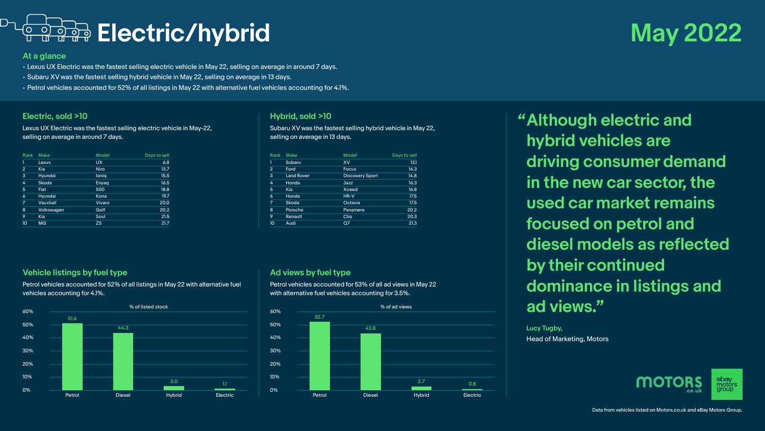

## **At a glance**

• Lexus UX Electric was the fastest selling electric vehicle in May 22, selling on average in around 7 days.

- Subaru XV was the fastest selling hybrid vehicle in May 22, selling on average in 13 days.
- Petrol vehicles accounted for 52% of all listings in May 22 with alternative fuel vehicles accounting for 4.1%.

## **Electric, sold >10**

Lexus UX Electric was the fastest selling electric vehicle in May-22, selling on average in around 7 days.

| Rank           | Make       | Model        | Days to sell |
|----------------|------------|--------------|--------------|
| 1              | Lexus      | <b>UX</b>    | 6.8          |
| $\overline{2}$ | Kia        | <b>Niro</b>  | 13.7         |
| 3              | Hyundai    | <b>lonig</b> | 15.5         |
| 4              | Skoda      | Enyag        | 16.5         |
| 5              | Fiat       | 500          | 18.8         |
| 6              | Hyundai    | Kona         | 19.7         |
| 7              | Vauxhall   | Vivaro       | 20.0         |
| 8              | Volkswagen | Golf         | 20.2         |
| 9              | Kia        | Soul         | 21.5         |
| 10             | <b>MG</b>  | <b>ZS</b>    | 21.7         |

## **Hybrid, sold >10**

Subaru XV was the fastest selling hybrid vehicle in May 22, selling on average in 13 days.

| Rank           | Make              | Model                  | Days to sell |
|----------------|-------------------|------------------------|--------------|
| 1              | Subaru            | XV                     | 13.1         |
| $\overline{2}$ | Ford              | Focus                  | 14.3         |
| 3              | <b>Land Rover</b> | <b>Discovery Sport</b> | 14.8         |
| 4              | Honda             | Jazz                   | 16.3         |
| 5              | Kia               | Xceed                  | 16.8         |
| 6              | Honda             | HR-V                   | 17.5         |
| 7              | Skoda             | Octavia                | 17.5         |
| 8              | Porsche           | Panamera               | 20.2         |
| 9              | Renault           | Clio                   | 20.3         |
| 10             | Audi              | Q7                     | 21.3         |

## **Vehicle listings by fuel type**

Petrol vehicles accounted for 52% of all listings in May 22 with alternative fuel vehicles accounting for 4.1%.



## **Ad views by fuel type**

Petrol vehicles accounted for 53% of all ad views in May 22 with alternative fuel vehicles accounting for 3.5%.



**"Although electric and hybrid vehicles are driving consumer demand in the new car sector, the used car market remains focused on petrol and diesel models as reflected by their continued dominance in listings and ad views."**

**Lucy Tugby,** Head of Marketing, Motors